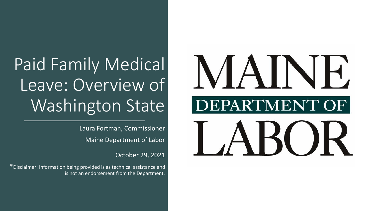# Paid Family Medical Leave: Overview of Washington State

Laura Fortman, Commissioner Maine Department of Labor

October 29, 2021

\*Disclaimer: Information being provided is as technical assistance and is not an endorsement from the Department.

# **MAINI** DEPARTMENT OF  $\blacktriangleleft$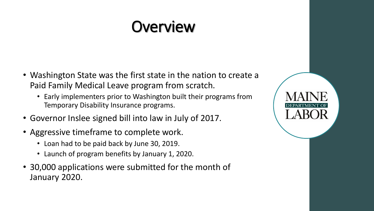#### **Overview**

- Washington State was the first state in the nation to create a Paid Family Medical Leave program from scratch.
	- Early implementers prior to Washington built their programs from Temporary Disability Insurance programs.
- Governor Inslee signed bill into law in July of 2017.
- Aggressive timeframe to complete work.
	- Loan had to be paid back by June 30, 2019.
	- Launch of program benefits by January 1, 2020.
- 30,000 applications were submitted for the month of January 2020.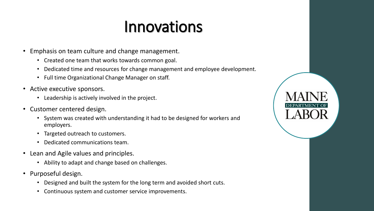#### Innovations

- Emphasis on team culture and change management.
	- Created one team that works towards common goal.
	- Dedicated time and resources for change management and employee development.
	- Full time Organizational Change Manager on staff.
- Active executive sponsors.
	- Leadership is actively involved in the project.
- Customer centered design.
	- System was created with understanding it had to be designed for workers and employers.
	- Targeted outreach to customers.
	- Dedicated communications team.
- Lean and Agile values and principles.
	- Ability to adapt and change based on challenges.
- Purposeful design.
	- Designed and built the system for the long term and avoided short cuts.
	- Continuous system and customer service improvements.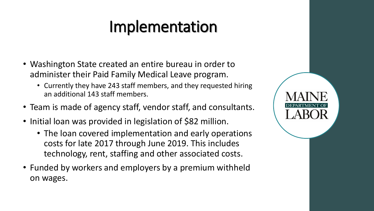#### Implementation

- Washington State created an entire bureau in order to administer their Paid Family Medical Leave program.
	- Currently they have 243 staff members, and they requested hiring an additional 143 staff members.
- Team is made of agency staff, vendor staff, and consultants.
- Initial loan was provided in legislation of \$82 million.
	- The loan covered implementation and early operations costs for late 2017 through June 2019. This includes technology, rent, staffing and other associated costs.
- Funded by workers and employers by a premium withheld on wages.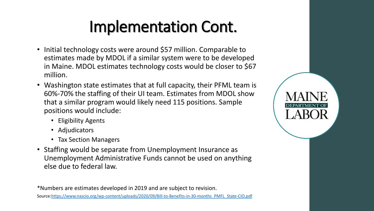### Implementation Cont.

- Initial technology costs were around \$57 million. Comparable to estimates made by MDOL if a similar system were to be developed in Maine. MDOL estimates technology costs would be closer to \$67 million.
- Washington state estimates that at full capacity, their PFML team is 60%-70% the staffing of their UI team. Estimates from MDOL show that a similar program would likely need 115 positions. Sample positions would include:
	- Eligibility Agents
	- Adjudicators
	- Tax Section Managers
- Staffing would be separate from Unemployment Insurance as Unemployment Administrative Funds cannot be used on anything else due to federal law.

\*Numbers are estimates developed in 2019 and are subject to revision. Source:[https://www.nascio.org/wp-content/uploads/2020/09/Bill-to-Benefits-in-30-months\\_PMFL\\_State-CIO.pdf](https://www.nascio.org/wp-content/uploads/2020/09/Bill-to-Benefits-in-30-months_PMFL_State-CIO.pdf)